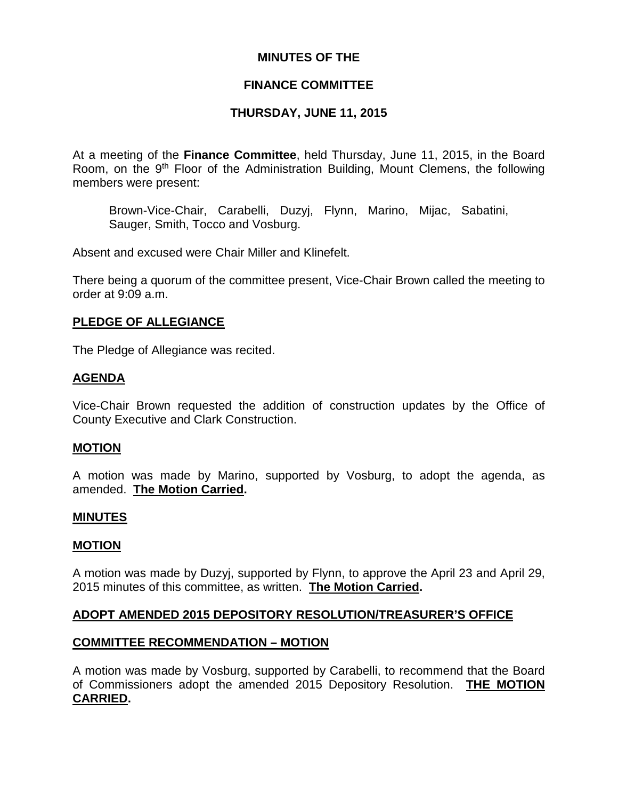### **MINUTES OF THE**

# **FINANCE COMMITTEE**

# **THURSDAY, JUNE 11, 2015**

At a meeting of the **Finance Committee**, held Thursday, June 11, 2015, in the Board Room, on the 9<sup>th</sup> Floor of the Administration Building, Mount Clemens, the following members were present:

Brown-Vice-Chair, Carabelli, Duzyj, Flynn, Marino, Mijac, Sabatini, Sauger, Smith, Tocco and Vosburg.

Absent and excused were Chair Miller and Klinefelt.

There being a quorum of the committee present, Vice-Chair Brown called the meeting to order at 9:09 a.m.

### **PLEDGE OF ALLEGIANCE**

The Pledge of Allegiance was recited.

### **AGENDA**

Vice-Chair Brown requested the addition of construction updates by the Office of County Executive and Clark Construction.

### **MOTION**

A motion was made by Marino, supported by Vosburg, to adopt the agenda, as amended. **The Motion Carried.**

### **MINUTES**

#### **MOTION**

A motion was made by Duzyj, supported by Flynn, to approve the April 23 and April 29, 2015 minutes of this committee, as written. **The Motion Carried.**

### **ADOPT AMENDED 2015 DEPOSITORY RESOLUTION/TREASURER'S OFFICE**

### **COMMITTEE RECOMMENDATION – MOTION**

A motion was made by Vosburg, supported by Carabelli, to recommend that the Board of Commissioners adopt the amended 2015 Depository Resolution. **THE MOTION CARRIED.**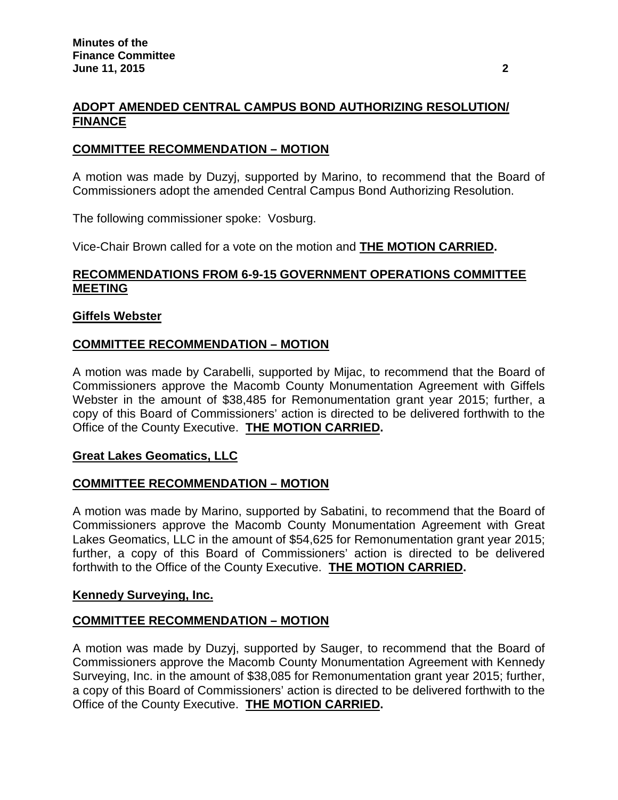# **ADOPT AMENDED CENTRAL CAMPUS BOND AUTHORIZING RESOLUTION/ FINANCE**

# **COMMITTEE RECOMMENDATION – MOTION**

A motion was made by Duzyj, supported by Marino, to recommend that the Board of Commissioners adopt the amended Central Campus Bond Authorizing Resolution.

The following commissioner spoke: Vosburg.

Vice-Chair Brown called for a vote on the motion and **THE MOTION CARRIED.**

# **RECOMMENDATIONS FROM 6-9-15 GOVERNMENT OPERATIONS COMMITTEE MEETING**

### **Giffels Webster**

# **COMMITTEE RECOMMENDATION – MOTION**

A motion was made by Carabelli, supported by Mijac, to recommend that the Board of Commissioners approve the Macomb County Monumentation Agreement with Giffels Webster in the amount of \$38,485 for Remonumentation grant year 2015; further, a copy of this Board of Commissioners' action is directed to be delivered forthwith to the Office of the County Executive. **THE MOTION CARRIED.**

### **Great Lakes Geomatics, LLC**

### **COMMITTEE RECOMMENDATION – MOTION**

A motion was made by Marino, supported by Sabatini, to recommend that the Board of Commissioners approve the Macomb County Monumentation Agreement with Great Lakes Geomatics, LLC in the amount of \$54,625 for Remonumentation grant year 2015; further, a copy of this Board of Commissioners' action is directed to be delivered forthwith to the Office of the County Executive. **THE MOTION CARRIED.**

### **Kennedy Surveying, Inc.**

# **COMMITTEE RECOMMENDATION – MOTION**

A motion was made by Duzyj, supported by Sauger, to recommend that the Board of Commissioners approve the Macomb County Monumentation Agreement with Kennedy Surveying, Inc. in the amount of \$38,085 for Remonumentation grant year 2015; further, a copy of this Board of Commissioners' action is directed to be delivered forthwith to the Office of the County Executive. **THE MOTION CARRIED.**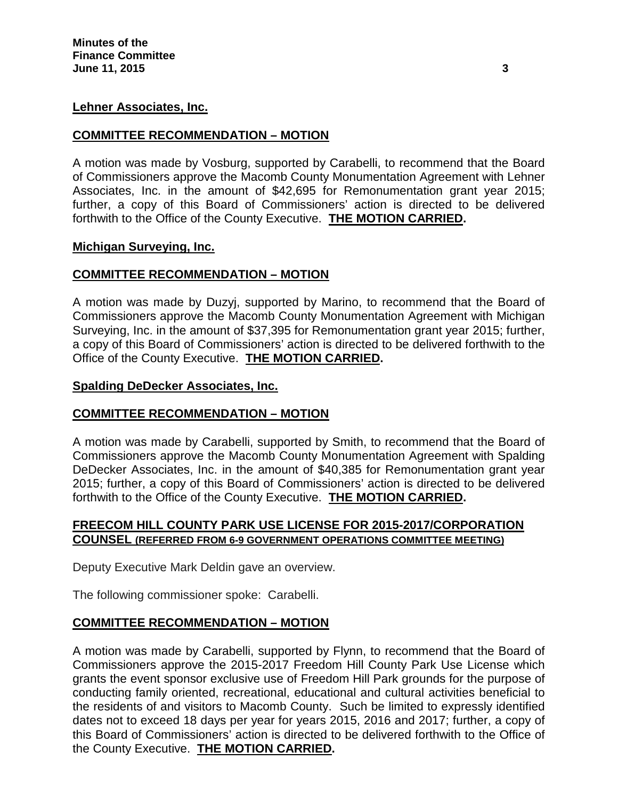### **Lehner Associates, Inc.**

### **COMMITTEE RECOMMENDATION – MOTION**

A motion was made by Vosburg, supported by Carabelli, to recommend that the Board of Commissioners approve the Macomb County Monumentation Agreement with Lehner Associates, Inc. in the amount of \$42,695 for Remonumentation grant year 2015; further, a copy of this Board of Commissioners' action is directed to be delivered forthwith to the Office of the County Executive. **THE MOTION CARRIED.**

### **Michigan Surveying, Inc.**

# **COMMITTEE RECOMMENDATION – MOTION**

A motion was made by Duzyj, supported by Marino, to recommend that the Board of Commissioners approve the Macomb County Monumentation Agreement with Michigan Surveying, Inc. in the amount of \$37,395 for Remonumentation grant year 2015; further, a copy of this Board of Commissioners' action is directed to be delivered forthwith to the Office of the County Executive. **THE MOTION CARRIED.**

### **Spalding DeDecker Associates, Inc.**

### **COMMITTEE RECOMMENDATION – MOTION**

A motion was made by Carabelli, supported by Smith, to recommend that the Board of Commissioners approve the Macomb County Monumentation Agreement with Spalding DeDecker Associates, Inc. in the amount of \$40,385 for Remonumentation grant year 2015; further, a copy of this Board of Commissioners' action is directed to be delivered forthwith to the Office of the County Executive. **THE MOTION CARRIED.**

### **FREECOM HILL COUNTY PARK USE LICENSE FOR 2015-2017/CORPORATION COUNSEL (REFERRED FROM 6-9 GOVERNMENT OPERATIONS COMMITTEE MEETING)**

Deputy Executive Mark Deldin gave an overview.

The following commissioner spoke: Carabelli.

# **COMMITTEE RECOMMENDATION – MOTION**

A motion was made by Carabelli, supported by Flynn, to recommend that the Board of Commissioners approve the 2015-2017 Freedom Hill County Park Use License which grants the event sponsor exclusive use of Freedom Hill Park grounds for the purpose of conducting family oriented, recreational, educational and cultural activities beneficial to the residents of and visitors to Macomb County. Such be limited to expressly identified dates not to exceed 18 days per year for years 2015, 2016 and 2017; further, a copy of this Board of Commissioners' action is directed to be delivered forthwith to the Office of the County Executive. **THE MOTION CARRIED.**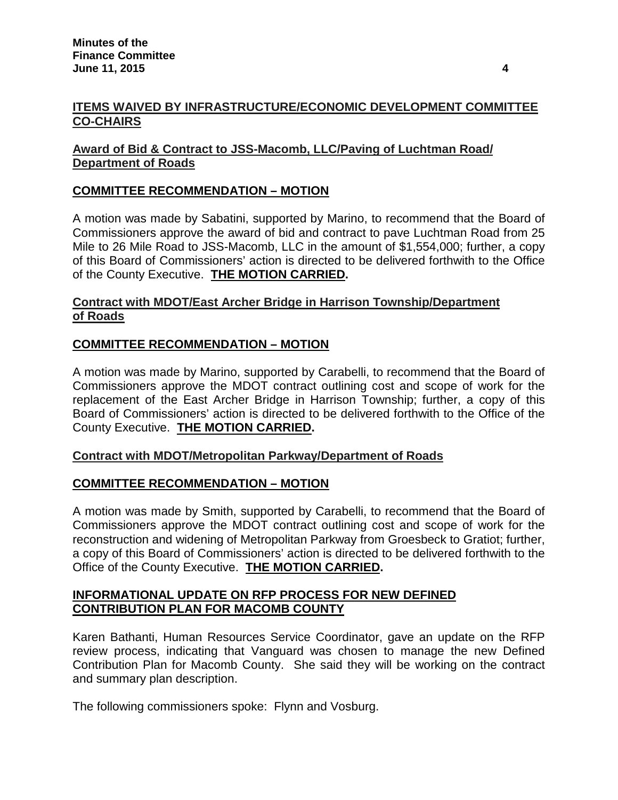# **Award of Bid & Contract to JSS-Macomb, LLC/Paving of Luchtman Road/ Department of Roads**

# **COMMITTEE RECOMMENDATION – MOTION**

A motion was made by Sabatini, supported by Marino, to recommend that the Board of Commissioners approve the award of bid and contract to pave Luchtman Road from 25 Mile to 26 Mile Road to JSS-Macomb, LLC in the amount of \$1,554,000; further, a copy of this Board of Commissioners' action is directed to be delivered forthwith to the Office of the County Executive. **THE MOTION CARRIED.**

# **Contract with MDOT/East Archer Bridge in Harrison Township/Department of Roads**

# **COMMITTEE RECOMMENDATION – MOTION**

A motion was made by Marino, supported by Carabelli, to recommend that the Board of Commissioners approve the MDOT contract outlining cost and scope of work for the replacement of the East Archer Bridge in Harrison Township; further, a copy of this Board of Commissioners' action is directed to be delivered forthwith to the Office of the County Executive. **THE MOTION CARRIED.**

# **Contract with MDOT/Metropolitan Parkway/Department of Roads**

# **COMMITTEE RECOMMENDATION – MOTION**

A motion was made by Smith, supported by Carabelli, to recommend that the Board of Commissioners approve the MDOT contract outlining cost and scope of work for the reconstruction and widening of Metropolitan Parkway from Groesbeck to Gratiot; further, a copy of this Board of Commissioners' action is directed to be delivered forthwith to the Office of the County Executive. **THE MOTION CARRIED.**

# **INFORMATIONAL UPDATE ON RFP PROCESS FOR NEW DEFINED CONTRIBUTION PLAN FOR MACOMB COUNTY**

Karen Bathanti, Human Resources Service Coordinator, gave an update on the RFP review process, indicating that Vanguard was chosen to manage the new Defined Contribution Plan for Macomb County. She said they will be working on the contract and summary plan description.

The following commissioners spoke: Flynn and Vosburg.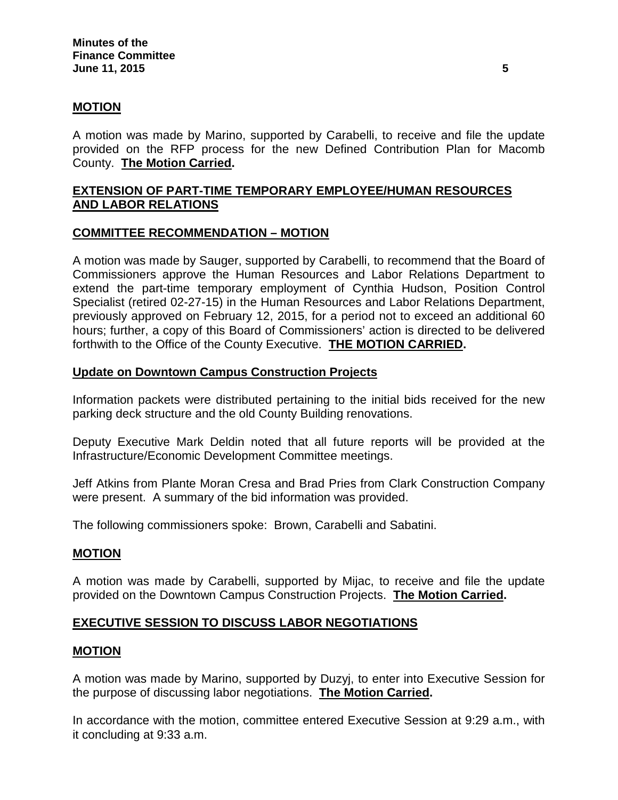### **MOTION**

A motion was made by Marino, supported by Carabelli, to receive and file the update provided on the RFP process for the new Defined Contribution Plan for Macomb County. **The Motion Carried.**

# **EXTENSION OF PART-TIME TEMPORARY EMPLOYEE/HUMAN RESOURCES AND LABOR RELATIONS**

### **COMMITTEE RECOMMENDATION – MOTION**

A motion was made by Sauger, supported by Carabelli, to recommend that the Board of Commissioners approve the Human Resources and Labor Relations Department to extend the part-time temporary employment of Cynthia Hudson, Position Control Specialist (retired 02-27-15) in the Human Resources and Labor Relations Department, previously approved on February 12, 2015, for a period not to exceed an additional 60 hours; further, a copy of this Board of Commissioners' action is directed to be delivered forthwith to the Office of the County Executive. **THE MOTION CARRIED.**

### **Update on Downtown Campus Construction Projects**

Information packets were distributed pertaining to the initial bids received for the new parking deck structure and the old County Building renovations.

Deputy Executive Mark Deldin noted that all future reports will be provided at the Infrastructure/Economic Development Committee meetings.

Jeff Atkins from Plante Moran Cresa and Brad Pries from Clark Construction Company were present. A summary of the bid information was provided.

The following commissioners spoke: Brown, Carabelli and Sabatini.

### **MOTION**

A motion was made by Carabelli, supported by Mijac, to receive and file the update provided on the Downtown Campus Construction Projects. **The Motion Carried.**

### **EXECUTIVE SESSION TO DISCUSS LABOR NEGOTIATIONS**

#### **MOTION**

A motion was made by Marino, supported by Duzyj, to enter into Executive Session for the purpose of discussing labor negotiations. **The Motion Carried.**

In accordance with the motion, committee entered Executive Session at 9:29 a.m., with it concluding at 9:33 a.m.